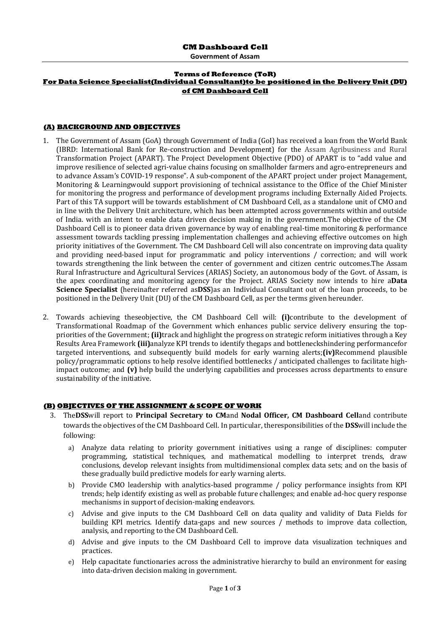**Government of Assam**

#### **Terms of Reference (ToR) For Data Science Specialist(Individual Consultant)to be positioned in the Delivery Unit (DU) of CM Dashboard Cell**

#### **(A) BACKGROUND AND OBJECTIVES**

- 1. The Government of Assam (GoA) through Government of India (GoI) has received a loan from the World Bank (IBRD: International Bank for Re-construction and Development) for the Assam Agribusiness and Rural Transformation Project (APART). The Project Development Objective (PDO) of APART is to "add value and improve resilience of selected agri-value chains focusing on smallholder farmers and agro-entrepreneurs and to advance Assam's COVID-19 response". A sub-component of the APART project under project Management, Monitoring & Learningwould support provisioning of technical assistance to the Office of the Chief Minister for monitoring the progress and performance of development programs including Externally Aided Projects. Part of this TA support will be towards establishment of CM Dashboard Cell, as a standalone unit of CMO and in line with the Delivery Unit architecture, which has been attempted across governments within and outside of India. with an intent to enable data driven decision making in the government.The objective of the CM Dashboard Cell is to pioneer data driven governance by way of enabling real-time monitoring & performance assessment towards tackling pressing implementation challenges and achieving effective outcomes on high priority initiatives of the Government. The CM Dashboard Cell will also concentrate on improving data quality and providing need-based input for programmatic and policy interventions / correction; and will work towards strengthening the link between the center of government and citizen centric outcomes.The Assam Rural Infrastructure and Agricultural Services (ARIAS) Society, an autonomous body of the Govt. of Assam, is the apex coordinating and monitoring agency for the Project. ARIAS Society now intends to hire a**Data Science Specialist** (hereinafter referred as**DSS**)as an Individual Consultant out of the loan proceeds, to be positioned in the Delivery Unit (DU) of the CM Dashboard Cell, as per the terms given hereunder.
- 2. Towards achieving theseobjective, the CM Dashboard Cell will: **(i)**contribute to the development of Transformational Roadmap of the Government which enhances public service delivery ensuring the toppriorities of the Government; **(ii)**track and highlight the progress on strategic reform initiatives through a Key Results Area Framework **(iii)**analyze KPI trends to identify thegaps and bottleneckshindering performancefor targeted interventions, and subsequently build models for early warning alerts;**(iv)**Recommend plausible policy/programmatic options to help resolve identified bottlenecks / anticipated challenges to facilitate highimpact outcome; and **(v)** help build the underlying capabilities and processes across departments to ensure sustainability of the initiative.

### **(B) OBJECTIVES OF THE ASSIGNMENT & SCOPE OF WORK**

- 3. The**DSS**will report to **Principal Secretary to CM**and **Nodal Officer, CM Dashboard Cell**and contribute towards the objectives of the CM Dashboard Cell. In particular, theresponsibilities of the **DSS**will include the following:
	- a) Analyze data relating to priority government initiatives using a range of disciplines: computer programming, statistical techniques, and mathematical modelling to interpret trends, draw conclusions, develop relevant insights from multidimensional complex data sets; and on the basis of these gradually build predictive models for early warning alerts.
	- b) Provide CMO leadership with analytics-based programme / policy performance insights from KPI trends; help identify existing as well as probable future challenges; and enable ad-hoc query response mechanisms in support of decision-making endeavors.
	- c) Advise and give inputs to the CM Dashboard Cell on data quality and validity of Data Fields for building KPI metrics. Identify data-gaps and new sources / methods to improve data collection, analysis, and reporting to the CM Dashboard Cell.
	- d) Advise and give inputs to the CM Dashboard Cell to improve data visualization techniques and practices.
	- e) Help capacitate functionaries across the administrative hierarchy to build an environment for easing into data-driven decision making in government.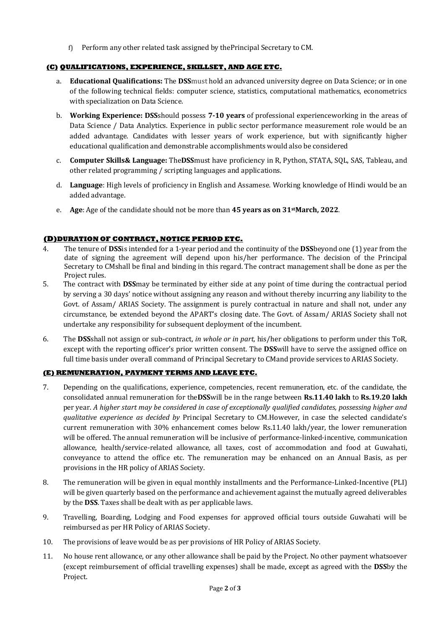f) Perform any other related task assigned by thePrincipal Secretary to CM.

# **(C) QUALIFICATIONS, EXPERIENCE, SKILLSET, AND AGE ETC.**

- a. **Educational Qualifications:** The **DSS**must hold an advanced university degree on Data Science; or in one of the following technical fields: computer science, statistics, computational mathematics, econometrics with specialization on Data Science.
- b. **Working Experience: DSS**should possess **7-10 years** of professional experienceworking in the areas of Data Science / Data Analytics. Experience in public sector performance measurement role would be an added advantage. Candidates with lesser years of work experience, but with significantly higher educational qualification and demonstrable accomplishments would also be considered
- c. **Computer Skills& Language:** The**DSS**must have proficiency in R, Python, STATA, SQL, SAS, Tableau, and other related programming / scripting languages and applications.
- d. **Language**: High levels of proficiency in English and Assamese. Working knowledge of Hindi would be an added advantage.
- e. **Age**: Age of the candidate should not be more than **45 years as on 31stMarch, 2022**.

# **(D)DURATION OF CONTRACT, NOTICE PERIOD ETC.**

- 4. The tenure of **DSS**is intended for a 1-year period and the continuity of the **DSS**beyond one (1) year from the date of signing the agreement will depend upon his/her performance. The decision of the Principal Secretary to CMshall be final and binding in this regard. The contract management shall be done as per the Project rules.
- 5. The contract with **DSS**may be terminated by either side at any point of time during the contractual period by serving a 30 days' notice without assigning any reason and without thereby incurring any liability to the Govt. of Assam/ ARIAS Society. The assignment is purely contractual in nature and shall not, under any circumstance, be extended beyond the APART's closing date. The Govt. of Assam/ ARIAS Society shall not undertake any responsibility for subsequent deployment of the incumbent.
- 6. The **DSS**shall not assign or sub-contract, *in whole or in part,* his/her obligations to perform under this ToR, except with the reporting officer's prior written consent. The **DSS**will have to serve the assigned office on full time basis under overall command of Principal Secretary to CMand provide services to ARIAS Society.

### **(E) REMUNERATION, PAYMENT TERMS AND LEAVE ETC.**

- 7. Depending on the qualifications, experience, competencies, recent remuneration, etc. of the candidate, the consolidated annual remuneration for the**DSS**will be in the range between **Rs.11.40 lakh** to **Rs.19.20 lakh** per year. *A higher start may be considered in case of exceptionally qualified candidates, possessing higher and qualitative experience as decided by* Principal Secretary to CM*.*However, in case the selected candidate's current remuneration with 30% enhancement comes below Rs.11.40 lakh/year, the lower remuneration will be offered. The annual remuneration will be inclusive of performance-linked-incentive, communication allowance, health/service-related allowance, all taxes, cost of accommodation and food at Guwahati, conveyance to attend the office etc. The remuneration may be enhanced on an Annual Basis, as per provisions in the HR policy of ARIAS Society.
- 8. The remuneration will be given in equal monthly installments and the Performance-Linked-Incentive (PLI) will be given quarterly based on the performance and achievement against the mutually agreed deliverables by the **DSS**. Taxes shall be dealt with as per applicable laws.
- 9. Travelling, Boarding, Lodging and Food expenses for approved official tours outside Guwahati will be reimbursed as per HR Policy of ARIAS Society.
- 10. The provisions of leave would be as per provisions of HR Policy of ARIAS Society.
- 11. No house rent allowance, or any other allowance shall be paid by the Project. No other payment whatsoever (except reimbursement of official travelling expenses) shall be made, except as agreed with the **DSS**by the Project.